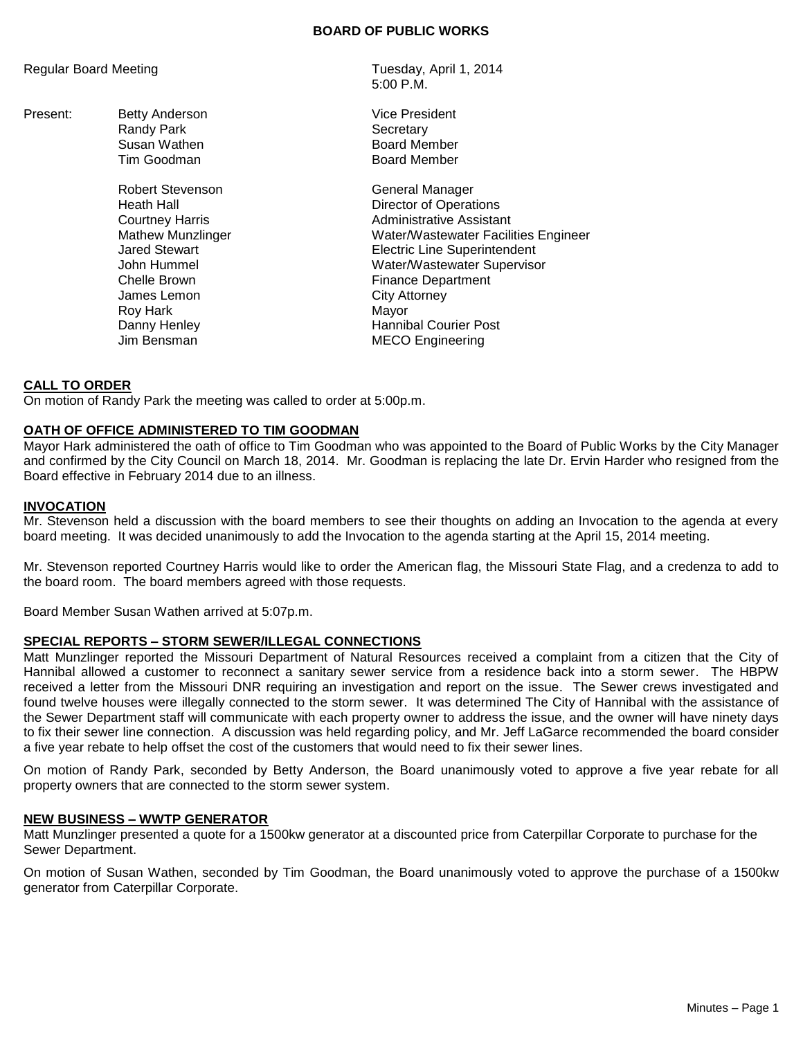#### **BOARD OF PUBLIC WORKS**

Regular Board Meeting Tuesday, April 1, 2014

Present: Betty Anderson **Vice President** Vice President Randy Park **Secretary** 

> Robert Stevenson General Manager James Lemon Roy Hark **Mayor** Mayor

5:00 P.M.

Susan Wathen **Board Member** Tim Goodman **Board Member** 

Heath Hall **Hall** Director of Operations Courtney Harris **Administrative Assistant** Mathew Munzlinger Water/Wastewater Facilities Engineer Jared Stewart Electric Line Superintendent John Hummel Water/Wastewater Supervisor Chelle Brown Finance Department<br>
James Lemon Finance Department Danny Henley **Hannibal Courier Post** Jim Bensman MECO Engineering

### **CALL TO ORDER**

On motion of Randy Park the meeting was called to order at 5:00p.m.

### **OATH OF OFFICE ADMINISTERED TO TIM GOODMAN**

Mayor Hark administered the oath of office to Tim Goodman who was appointed to the Board of Public Works by the City Manager and confirmed by the City Council on March 18, 2014. Mr. Goodman is replacing the late Dr. Ervin Harder who resigned from the Board effective in February 2014 due to an illness.

### **INVOCATION**

Mr. Stevenson held a discussion with the board members to see their thoughts on adding an Invocation to the agenda at every board meeting. It was decided unanimously to add the Invocation to the agenda starting at the April 15, 2014 meeting.

Mr. Stevenson reported Courtney Harris would like to order the American flag, the Missouri State Flag, and a credenza to add to the board room. The board members agreed with those requests.

Board Member Susan Wathen arrived at 5:07p.m.

# **SPECIAL REPORTS – STORM SEWER/ILLEGAL CONNECTIONS**

Matt Munzlinger reported the Missouri Department of Natural Resources received a complaint from a citizen that the City of Hannibal allowed a customer to reconnect a sanitary sewer service from a residence back into a storm sewer. The HBPW received a letter from the Missouri DNR requiring an investigation and report on the issue. The Sewer crews investigated and found twelve houses were illegally connected to the storm sewer. It was determined The City of Hannibal with the assistance of the Sewer Department staff will communicate with each property owner to address the issue, and the owner will have ninety days to fix their sewer line connection. A discussion was held regarding policy, and Mr. Jeff LaGarce recommended the board consider a five year rebate to help offset the cost of the customers that would need to fix their sewer lines.

On motion of Randy Park, seconded by Betty Anderson, the Board unanimously voted to approve a five year rebate for all property owners that are connected to the storm sewer system.

#### **NEW BUSINESS – WWTP GENERATOR**

Matt Munzlinger presented a quote for a 1500kw generator at a discounted price from Caterpillar Corporate to purchase for the Sewer Department.

On motion of Susan Wathen, seconded by Tim Goodman, the Board unanimously voted to approve the purchase of a 1500kw generator from Caterpillar Corporate.